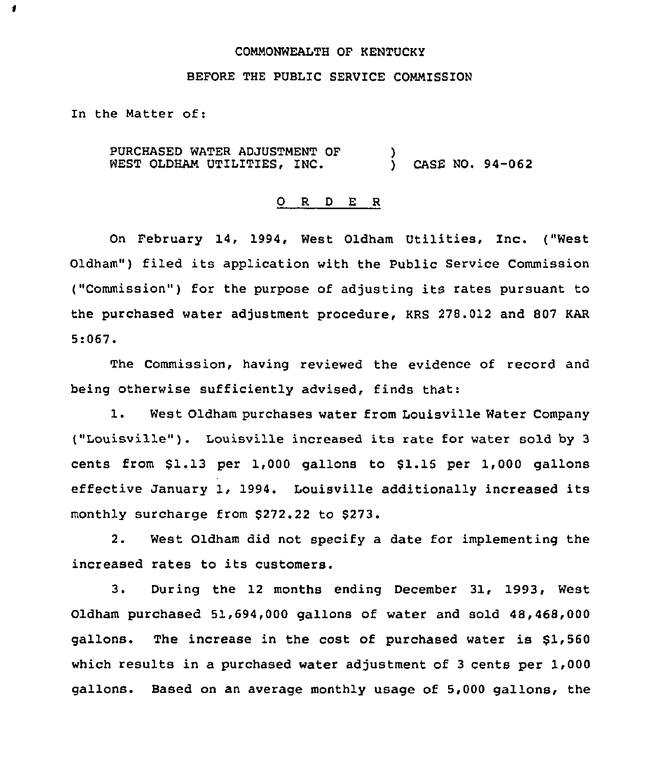### COMMONWEALTH OF KENTUCKY

## BEFORE THE PUBLIC SERVICE COMMISSION

In the Matter of:

1

PURCHASED WATER ADJUSTMENT OF WEST OLDHAM UTILITIES, INC.  $\left\{ \right\}$ CASE NO. 94-062

#### 0 R <sup>D</sup> E R

On February 14, 1994, West Oldham Utilities, Inc. ("West Oldham") filed its application with the Public Service Commission ("Commission") for the purpose of adjusting its rates pursuant to the purchased water adjustment procedure, KRS 278.012 and 807 KAR 5:067.

The Commission, having reviewed the evidence of record and being otherwise sufficiently advised, finds that:

1. West Oldham purchases water from Louisville Water Company ("Louisville" ). Louisville increased its rate for water sold by <sup>3</sup> cents from  $$1.13$  per 1,000 gallons to  $$1.15$  per 1,000 gallons effective January 1, 1994. Louisville additionally increased its monthly surcharge from \$272.22 to \$273.

2. West Oldham did not specify a date for implementing the increased rates to its customers.

3. During the 12 months ending December 31, 1993, West Oldham purchased 51,694,000 gallons of water and sold 48,468,000 gallons. The increase in the cost of purchased water is \$1,560 which results in a purchased water adjustment of <sup>3</sup> cents per 1,000 gallons. Based on an average monthly usage of 5,000 gallons, the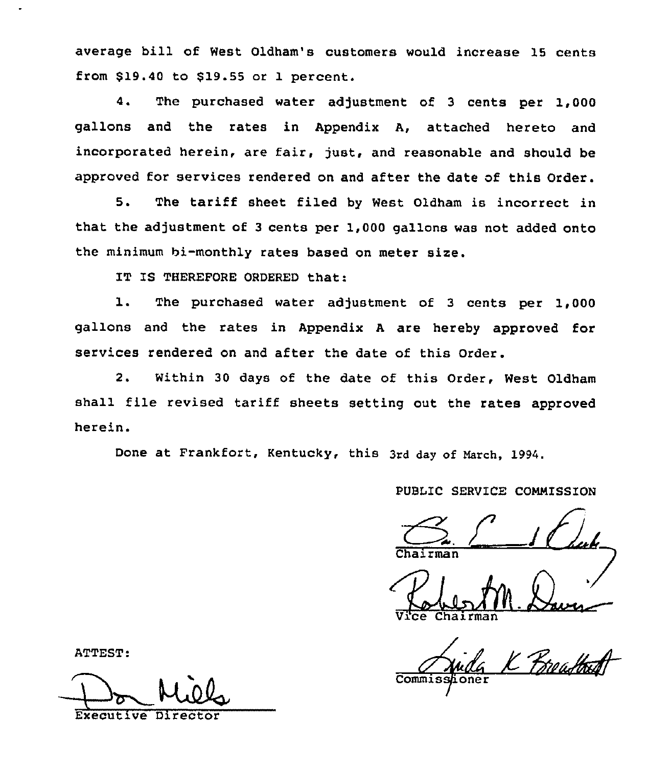average bill of West Oldham's customers would increase 15 cents from  $$19.40$  to  $$19.55$  or 1 percent.

4. The purchased water adjustment of <sup>3</sup> cents per 1,000 gallons and the rates in Appendix A, attached hereto and incorporated herein, are fair, just, and reasonable and should be approved for services rendered on and after the date of this Order.

5. The tariff sheet filed by West Oldham is incorrect in that the adjustment of 3 cents per 1,000 gallons was not added onto the minimum bi-monthly rates based on meter size.

IT IS THEREFORE ORDERED that:

1. The purchased water adjustment of <sup>3</sup> cents per 1,000 gallons and the rates in Appendix <sup>A</sup> are hereby approved for services rendered on and after the date of this Order.

2. Within 30 days of the date of this Order, West Oldham shall file revised tariff sheets setting out the rates approved herein.

Done at Frankfort, Kentucky, this 3rd day of March, 1994.

# PUBLIC SERVICE COMMISSION

Chairman

Chairman

Commisshoner

ATTEST:

Executive Director